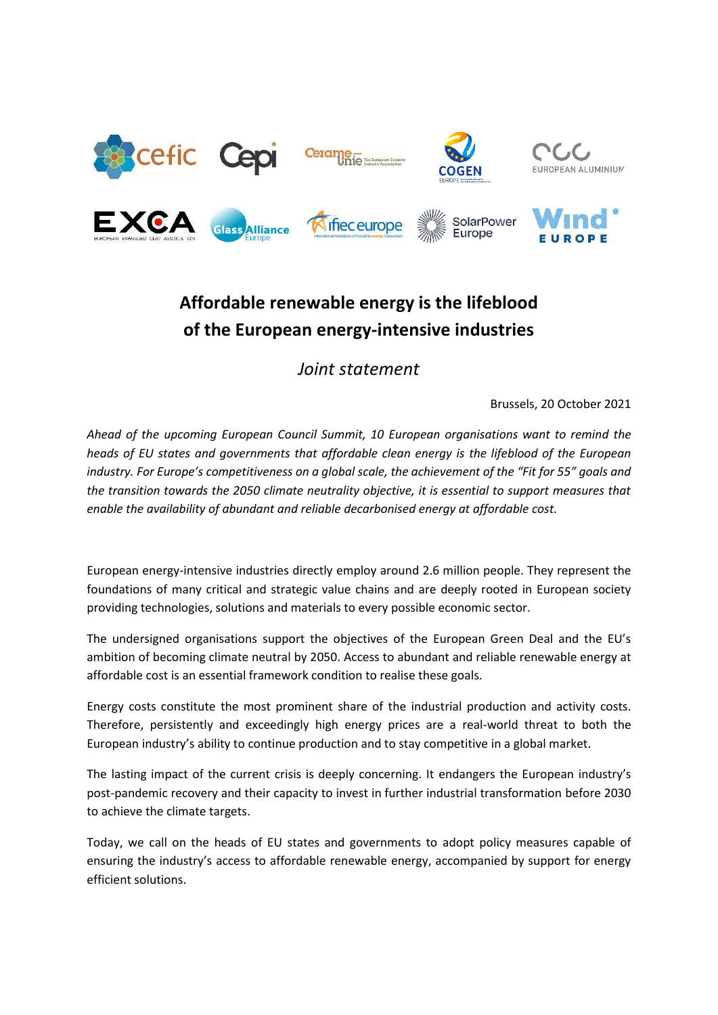

















## **Affordable renewable energy is the lifeblood of the European energy-intensive industries**

## *Joint statement*

Brussels, 20 October 2021

*Ahead of the upcoming European Council Summit, 10 European organisations want to remind the heads of EU states and governments that affordable clean energy is the lifeblood of the European industry. For Europe's competitiveness on a global scale, the achievement of the "Fit for 55" goals and the transition towards the 2050 climate neutrality objective, it is essential to support measures that enable the availability of abundant and reliable decarbonised energy at affordable cost.*

European energy-intensive industries directly employ around 2.6 million people. They represent the foundations of many critical and strategic value chains and are deeply rooted in European society providing technologies, solutions and materials to every possible economic sector.

The undersigned organisations support the objectives of the European Green Deal and the EU's ambition of becoming climate neutral by 2050. Access to abundant and reliable renewable energy at affordable cost is an essential framework condition to realise these goals.

Energy costs constitute the most prominent share of the industrial production and activity costs. Therefore, persistently and exceedingly high energy prices are a real-world threat to both the European industry's ability to continue production and to stay competitive in a global market.

The lasting impact of the current crisis is deeply concerning. It endangers the European industry's post-pandemic recovery and their capacity to invest in further industrial transformation before 2030 to achieve the climate targets.

Today, we call on the heads of EU states and governments to adopt policy measures capable of ensuring the industry's access to affordable renewable energy, accompanied by support for energy efficient solutions.